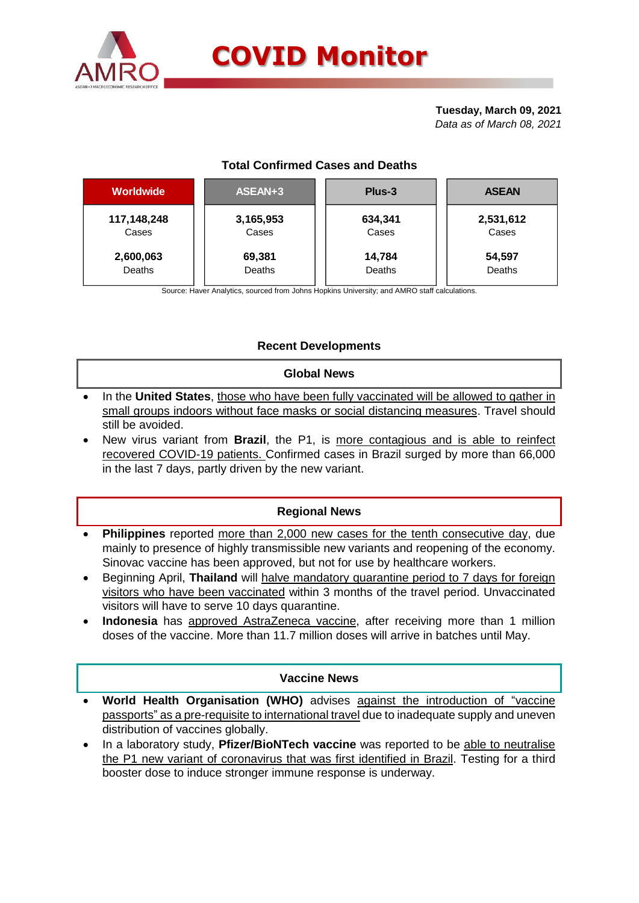

# **Tuesday, March 09, 2021**

*Data as of March 08, 2021*

# **Total Confirmed Cases and Deaths**

| Worldwide   | ASEAN+3   | Plus-3  | <b>ASEAN</b> |
|-------------|-----------|---------|--------------|
| 117,148,248 | 3,165,953 | 634,341 | 2,531,612    |
| Cases       | Cases     | Cases   | Cases        |
| 2,600,063   | 69,381    | 14,784  | 54,597       |
| Deaths      | Deaths    | Deaths  | Deaths       |
|             |           |         |              |

Source: Haver Analytics, sourced from Johns Hopkins University; and AMRO staff calculations.

# **Recent Developments**

## **Global News**

- In the **United States**, those who have been fully vaccinated will be allowed to gather in small groups indoors without face masks or social distancing measures. Travel should still be avoided.
- New virus variant from **Brazil**, the P1, is more contagious and is able to reinfect recovered COVID-19 patients. Confirmed cases in Brazil surged by more than 66,000 in the last 7 days, partly driven by the new variant.

# **Regional News**

- **Philippines** reported more than 2,000 new cases for the tenth consecutive day, due mainly to presence of highly transmissible new variants and reopening of the economy. Sinovac vaccine has been approved, but not for use by healthcare workers.
- Beginning April, **Thailand** will halve mandatory quarantine period to 7 days for foreign visitors who have been vaccinated within 3 months of the travel period. Unvaccinated visitors will have to serve 10 days quarantine.
- **Indonesia** has approved AstraZeneca vaccine, after receiving more than 1 million doses of the vaccine. More than 11.7 million doses will arrive in batches until May.

## **Vaccine News**

- **World Health Organisation (WHO)** advises against the introduction of "vaccine passports" as a pre-requisite to international travel due to inadequate supply and uneven distribution of vaccines globally.
- In a laboratory study, **Pfizer/BioNTech vaccine** was reported to be able to neutralise the P1 new variant of coronavirus that was first identified in Brazil. Testing for a third booster dose to induce stronger immune response is underway.